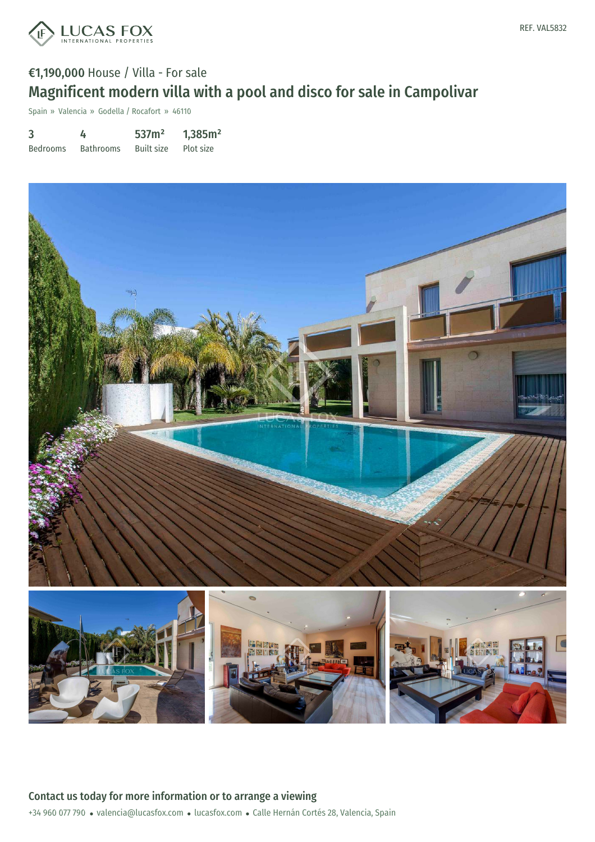

# €1,190,000 House / Villa - For sale Magnificent modern villa with a pool and disco for sale in Campolivar

Spain » Valencia » Godella / Rocafort » 46110

| 3               | 4                | 537m <sup>2</sup> | 1,385m <sup>2</sup> |
|-----------------|------------------|-------------------|---------------------|
| <b>Bedrooms</b> | <b>Bathrooms</b> | Built size        | Plot size           |

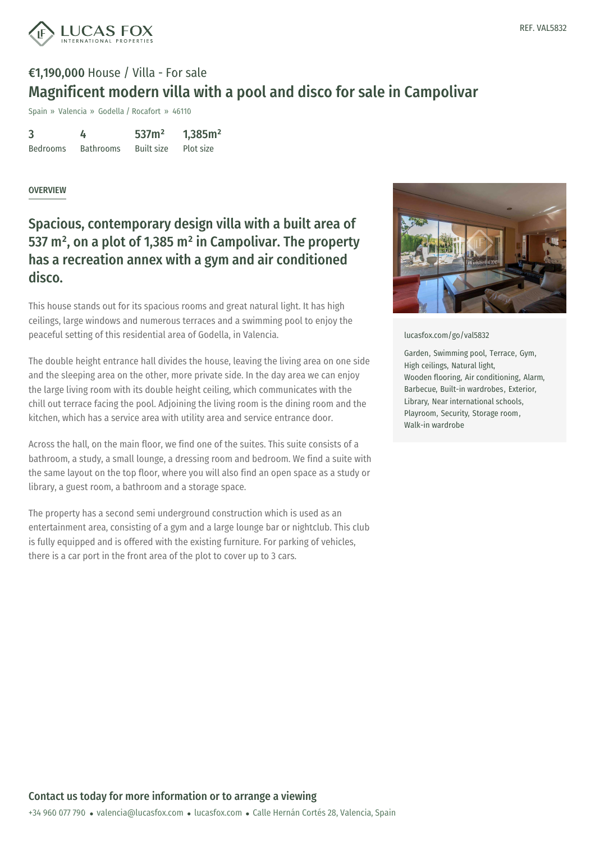

# €1,190,000 House / Villa - For sale Magnificent modern villa with a pool and disco for sale in Campolivar

Spain » Valencia » Godella / Rocafort » 46110

| 3               | 4                | 537m <sup>2</sup> | 1,385m <sup>2</sup> |
|-----------------|------------------|-------------------|---------------------|
| <b>Bedrooms</b> | <b>Bathrooms</b> | <b>Built size</b> | Plot size           |

#### **OVERVIEW**

### Spacious, contemporary design villa with a built area of 537 m², on a plot of 1,385 m² in Campolivar. The property has a recreation annex with a gym and air conditioned disco.

This house stands out for its spacious rooms and great natural light. It has high ceilings, large windows and numerous terraces and a swimming pool to enjoy the peaceful setting of this residential area of Godella, in Valencia.

The double height entrance hall divides the house, leaving the living area on one side and the sleeping area on the other, more private side. In the day area we can enjoy the large living room with its double height ceiling, which communicates with the chill out terrace facing the pool. Adjoining the living room is the dining room and the kitchen, which has a service area with utility area and service entrance door.

Across the hall, on the main floor, we find one of the suites. This suite consists of a bathroom, a study, a small lounge, a dressing room and bedroom. We find a suite with the same layout on the top floor, where you will also find an open space as a study or library, a guest room, a bathroom and a storage space.

The property has a second semi underground construction which is used as an entertainment area, consisting of a gym and a large lounge bar or nightclub. This club is fully equipped and is offered with the existing furniture. For parking of vehicles, there is a car port in the front area of the plot to cover up to 3 cars.



[lucasfox.com/go/val5832](https://www.lucasfox.com/go/val5832)

Garden, Swimming pool, Terrace, Gym, High ceilings, Natural light, Wooden flooring, Air conditioning, Alarm, Barbecue, Built-in wardrobes, Exterior, Library, Near international schools, Playroom, Security, Storage room, Walk-in wardrobe